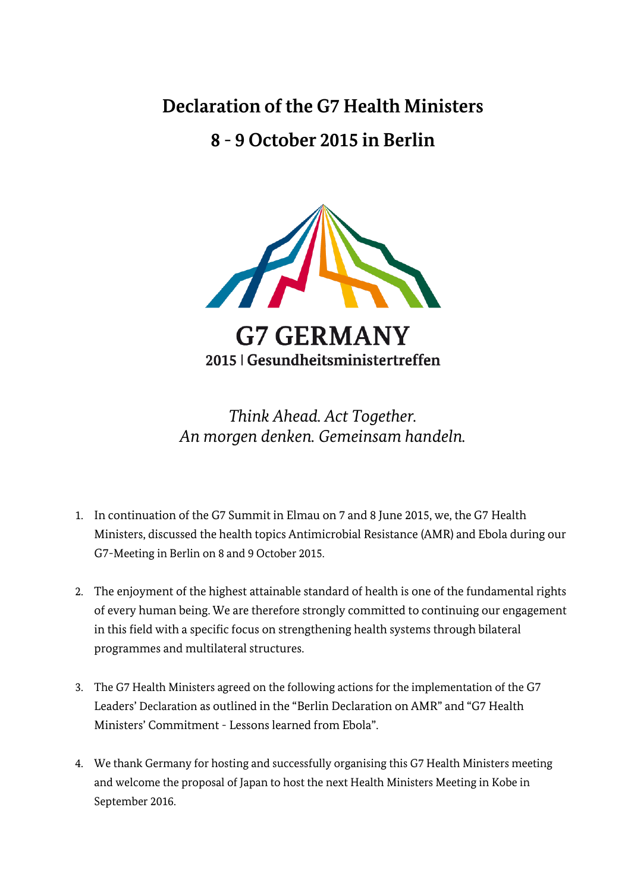## **Declaration of the G7 Health Ministers 8 - 9 October 2015 in Berlin**



*Think Ahead. Act Together. An morgen denken. Gemeinsam handeln.*

- 1. In continuation of the G7 Summit in Elmau on 7 and 8 June 2015, we, the G7 Health Ministers, discussed the health topics Antimicrobial Resistance (AMR) and Ebola during our G7-Meeting in Berlin on 8 and 9 October 2015.
- 2. The enjoyment of the highest attainable standard of health is one of the fundamental rights of every human being. We are therefore strongly committed to continuing our engagement in this field with a specific focus on strengthening health systems through bilateral programmes and multilateral structures.
- 3. The G7 Health Ministers agreed on the following actions for the implementation of the G7 Leaders' Declaration as outlined in the "Berlin Declaration on AMR" and "G7 Health Ministers' Commitment - Lessons learned from Ebola".
- 4. We thank Germany for hosting and successfully organising this G7 Health Ministers meeting and welcome the proposal of Japan to host the next Health Ministers Meeting in Kobe in September 2016.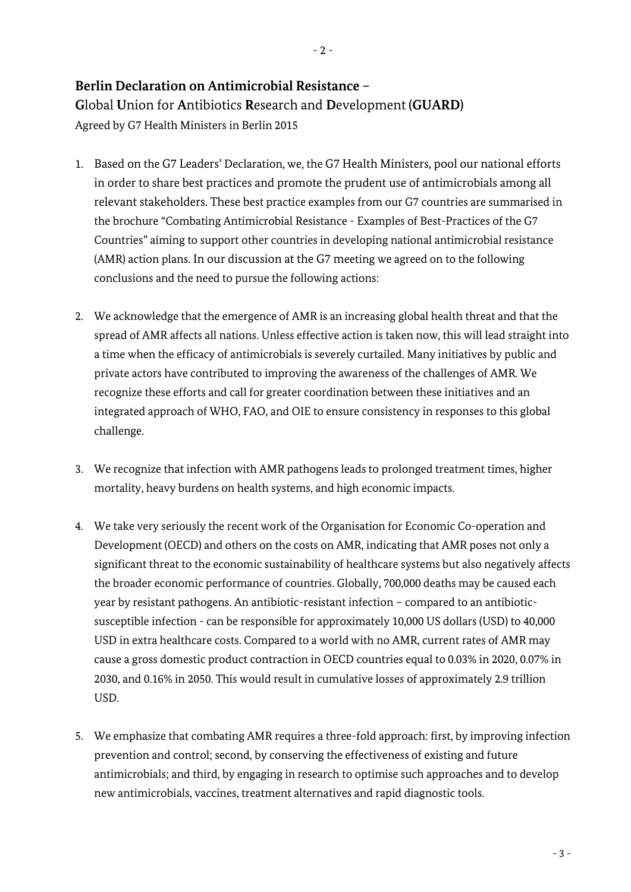## **Berlin Declaration on Antimicrobial Resistance –**

**G**lobal **U**nion for **A**ntibiotics **R**esearch and **D**evelopment **(GUARD)** Agreed by G7 Health Ministers in Berlin 2015

- 1. Based on the G7 Leaders' Declaration, we, the G7 Health Ministers, pool our national efforts in order to share best practices and promote the prudent use of antimicrobials among all relevant stakeholders. These best practice examples from our G7 countries are summarised in the brochure "Combating Antimicrobial Resistance - Examples of Best-Practices of the G7 Countries" aiming to support other countries in developing national antimicrobial resistance (AMR) action plans. In our discussion at the G7 meeting we agreed on to the following conclusions and the need to pursue the following actions:
- 2. We acknowledge that the emergence of AMR is an increasing global health threat and that the spread of AMR affects all nations. Unless effective action is taken now, this will lead straight into a time when the efficacy of antimicrobials is severely curtailed. Many initiatives by public and private actors have contributed to improving the awareness of the challenges of AMR. We recognize these efforts and call for greater coordination between these initiatives and an integrated approach of WHO, FAO, and OIE to ensure consistency in responses to this global challenge.
- 3. We recognize that infection with AMR pathogens leads to prolonged treatment times, higher mortality, heavy burdens on health systems, and high economic impacts.
- 4. We take very seriously the recent work of the Organisation for Economic Co-operation and Development (OECD) and others on the costs on AMR, indicating that AMR poses not only a significant threat to the economic sustainability of healthcare systems but also negatively affects the broader economic performance of countries. Globally, 700,000 deaths may be caused each year by resistant pathogens. An antibiotic-resistant infection – compared to an antibioticsusceptible infection - can be responsible for approximately 10,000 US dollars (USD) to 40,000 USD in extra healthcare costs. Compared to a world with no AMR, current rates of AMR may cause a gross domestic product contraction in OECD countries equal to 0.03% in 2020, 0.07% in 2030, and 0.16% in 2050. This would result in cumulative losses of approximately 2.9 trillion USD.
- 5. We emphasize that combating AMR requires a three-fold approach: first, by improving infection prevention and control; second, by conserving the effectiveness of existing and future antimicrobials; and third, by engaging in research to optimise such approaches and to develop new antimicrobials, vaccines, treatment alternatives and rapid diagnostic tools.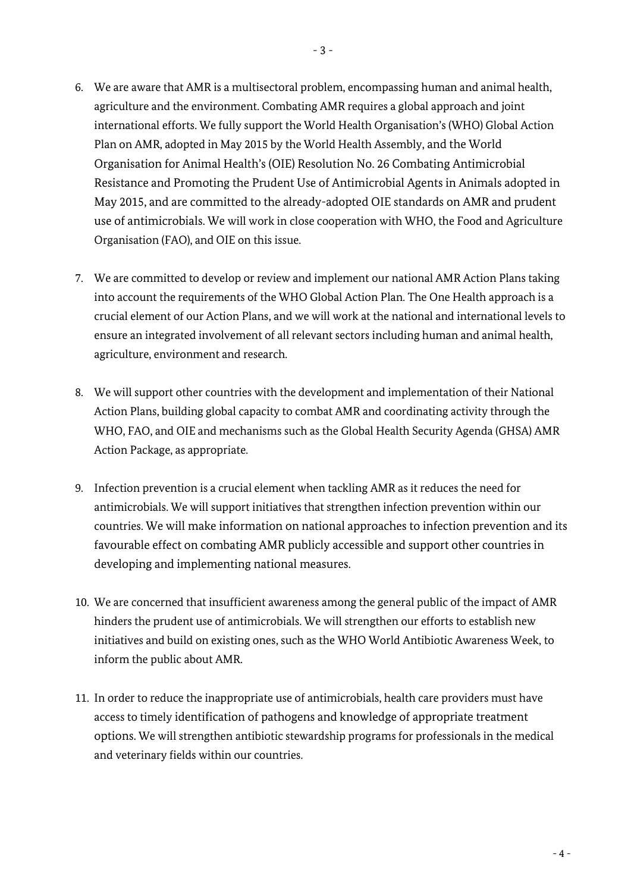- 6. We are aware that AMR is a multisectoral problem, encompassing human and animal health, agriculture and the environment. Combating AMR requires a global approach and joint international efforts. We fully support the World Health Organisation's (WHO) Global Action Plan on AMR, adopted in May 2015 by the World Health Assembly, and the World Organisation for Animal Health's (OIE) Resolution No. 26 Combating Antimicrobial Resistance and Promoting the Prudent Use of Antimicrobial Agents in Animals adopted in May 2015, and are committed to the already-adopted OIE standards on AMR and prudent use of antimicrobials. We will work in close cooperation with WHO, the Food and Agriculture Organisation (FAO), and OIE on this issue.
- 7. We are committed to develop or review and implement our national AMR Action Plans taking into account the requirements of the WHO Global Action Plan. The One Health approach is a crucial element of our Action Plans, and we will work at the national and international levels to ensure an integrated involvement of all relevant sectors including human and animal health, agriculture, environment and research.
- 8. We will support other countries with the development and implementation of their National Action Plans, building global capacity to combat AMR and coordinating activity through the WHO, FAO, and OIE and mechanisms such as the Global Health Security Agenda (GHSA) AMR Action Package, as appropriate.
- 9. Infection prevention is a crucial element when tackling AMR as it reduces the need for antimicrobials. We will support initiatives that strengthen infection prevention within our countries. We will make information on national approaches to infection prevention and its favourable effect on combating AMR publicly accessible and support other countries in developing and implementing national measures.
- 10. We are concerned that insufficient awareness among the general public of the impact of AMR hinders the prudent use of antimicrobials. We will strengthen our efforts to establish new initiatives and build on existing ones, such as the WHO World Antibiotic Awareness Week, to inform the public about AMR.
- 11. In order to reduce the inappropriate use of antimicrobials, health care providers must have access to timely identification of pathogens and knowledge of appropriate treatment options. We will strengthen antibiotic stewardship programs for professionals in the medical and veterinary fields within our countries.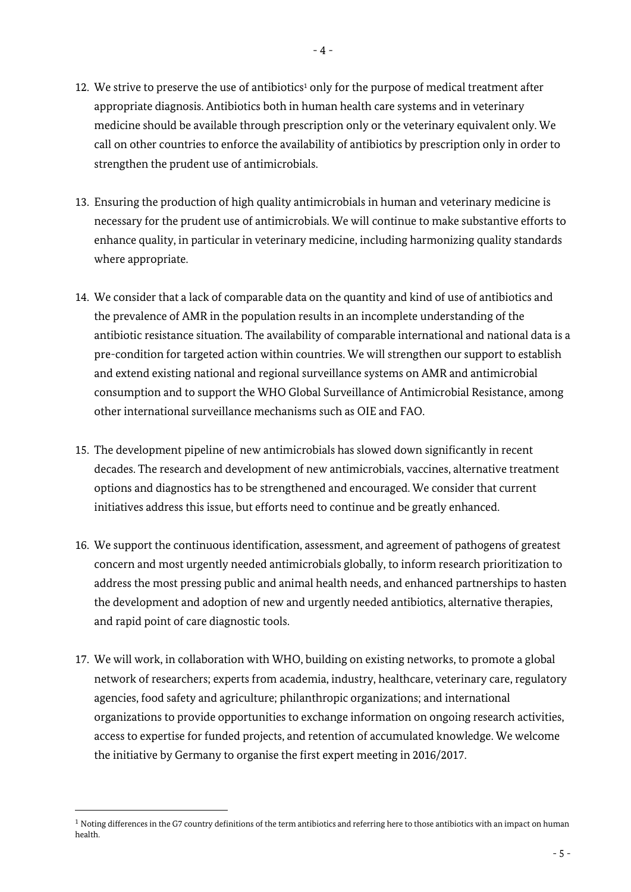- 12. We strive to preserve the use of antibiotics<sup>1</sup> only for the purpose of medical treatment after appropriate diagnosis. Antibiotics both in human health care systems and in veterinary medicine should be available through prescription only or the veterinary equivalent only. We call on other countries to enforce the availability of antibiotics by prescription only in order to strengthen the prudent use of antimicrobials.
- 13. Ensuring the production of high quality antimicrobials in human and veterinary medicine is necessary for the prudent use of antimicrobials. We will continue to make substantive efforts to enhance quality, in particular in veterinary medicine, including harmonizing quality standards where appropriate.
- 14. We consider that a lack of comparable data on the quantity and kind of use of antibiotics and the prevalence of AMR in the population results in an incomplete understanding of the antibiotic resistance situation. The availability of comparable international and national data is a pre-condition for targeted action within countries. We will strengthen our support to establish and extend existing national and regional surveillance systems on AMR and antimicrobial consumption and to support the WHO Global Surveillance of Antimicrobial Resistance, among other international surveillance mechanisms such as OIE and FAO.
- 15. The development pipeline of new antimicrobials has slowed down significantly in recent decades. The research and development of new antimicrobials, vaccines, alternative treatment options and diagnostics has to be strengthened and encouraged. We consider that current initiatives address this issue, but efforts need to continue and be greatly enhanced.
- 16. We support the continuous identification, assessment, and agreement of pathogens of greatest concern and most urgently needed antimicrobials globally, to inform research prioritization to address the most pressing public and animal health needs, and enhanced partnerships to hasten the development and adoption of new and urgently needed antibiotics, alternative therapies, and rapid point of care diagnostic tools.
- 17. We will work, in collaboration with WHO, building on existing networks, to promote a global network of researchers; experts from academia, industry, healthcare, veterinary care, regulatory agencies, food safety and agriculture; philanthropic organizations; and international organizations to provide opportunities to exchange information on ongoing research activities, access to expertise for funded projects, and retention of accumulated knowledge. We welcome the initiative by Germany to organise the first expert meeting in 2016/2017.

 $\overline{\phantom{a}}$ 

 $1$  Noting differences in the G7 country definitions of the term antibiotics and referring here to those antibiotics with an impact on human health.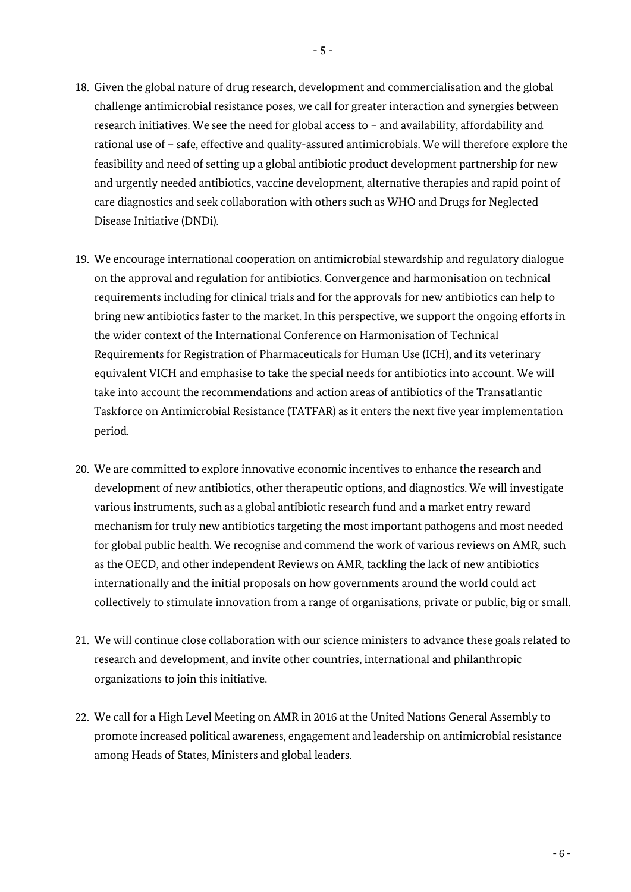- 18. Given the global nature of drug research, development and commercialisation and the global
- challenge antimicrobial resistance poses, we call for greater interaction and synergies between research initiatives. We see the need for global access to – and availability, affordability and rational use of – safe, effective and quality-assured antimicrobials. We will therefore explore the feasibility and need of setting up a global antibiotic product development partnership for new and urgently needed antibiotics, vaccine development, alternative therapies and rapid point of care diagnostics and seek collaboration with others such as WHO and Drugs for Neglected Disease Initiative (DNDi).
- 19. We encourage international cooperation on antimicrobial stewardship and regulatory dialogue on the approval and regulation for antibiotics. Convergence and harmonisation on technical requirements including for clinical trials and for the approvals for new antibiotics can help to bring new antibiotics faster to the market. In this perspective, we support the ongoing efforts in the wider context of the International Conference on Harmonisation of Technical Requirements for Registration of Pharmaceuticals for Human Use (ICH), and its veterinary equivalent VICH and emphasise to take the special needs for antibiotics into account. We will take into account the recommendations and action areas of antibiotics of the Transatlantic Taskforce on Antimicrobial Resistance (TATFAR) as it enters the next five year implementation period.
- 20. We are committed to explore innovative economic incentives to enhance the research and development of new antibiotics, other therapeutic options, and diagnostics. We will investigate various instruments, such as a global antibiotic research fund and a market entry reward mechanism for truly new antibiotics targeting the most important pathogens and most needed for global public health. We recognise and commend the work of various reviews on AMR, such as the OECD, and other independent Reviews on AMR, tackling the lack of new antibiotics internationally and the initial proposals on how governments around the world could act collectively to stimulate innovation from a range of organisations, private or public, big or small.
- 21. We will continue close collaboration with our science ministers to advance these goals related to research and development, and invite other countries, international and philanthropic organizations to join this initiative.
- 22. We call for a High Level Meeting on AMR in 2016 at the United Nations General Assembly to promote increased political awareness, engagement and leadership on antimicrobial resistance among Heads of States, Ministers and global leaders.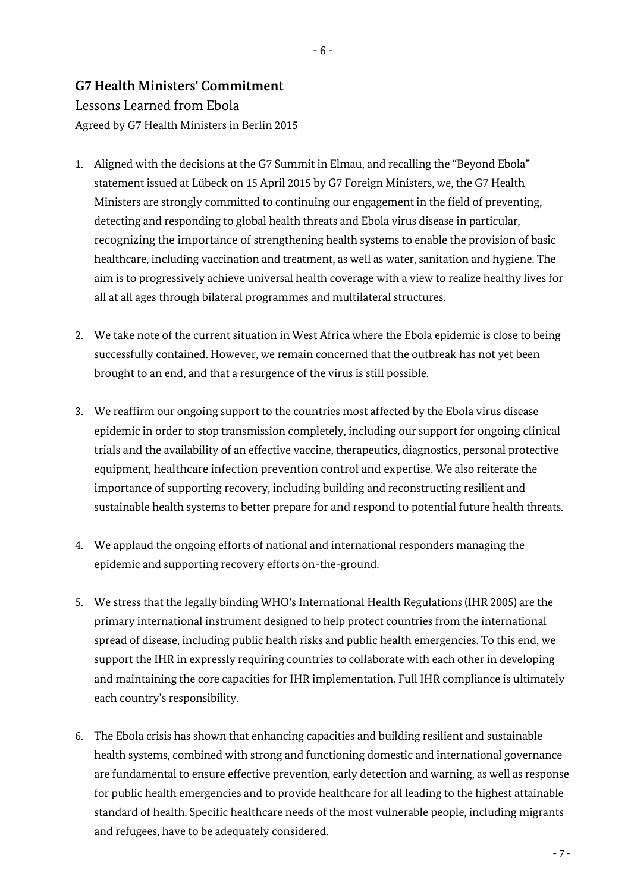## **G7 Health Ministers' Commitment**

## Lessons Learned from Ebola Agreed by G7 Health Ministers in Berlin 2015

- 1. Aligned with the decisions at the G7 Summit in Elmau, and recalling the "Beyond Ebola" statement issued at Lübeck on 15 April 2015 by G7 Foreign Ministers, we, the G7 Health Ministers are strongly committed to continuing our engagement in the field of preventing, detecting and responding to global health threats and Ebola virus disease in particular, recognizing the importance of strengthening health systems to enable the provision of basic healthcare, including vaccination and treatment, as well as water, sanitation and hygiene. The aim is to progressively achieve universal health coverage with a view to realize healthy lives for all at all ages through bilateral programmes and multilateral structures.
- 2. We take note of the current situation in West Africa where the Ebola epidemic is close to being successfully contained. However, we remain concerned that the outbreak has not yet been brought to an end, and that a resurgence of the virus is still possible.
- 3. We reaffirm our ongoing support to the countries most affected by the Ebola virus disease epidemic in order to stop transmission completely, including our support for ongoing clinical trials and the availability of an effective vaccine, therapeutics, diagnostics, personal protective equipment, healthcare infection prevention control and expertise. We also reiterate the importance of supporting recovery, including building and reconstructing resilient and sustainable health systems to better prepare for and respond to potential future health threats.
- 4. We applaud the ongoing efforts of national and international responders managing the epidemic and supporting recovery efforts on-the-ground.
- 5. We stress that the legally binding WHO's International Health Regulations (IHR 2005) are the primary international instrument designed to help protect countries from the international spread of disease, including public health risks and public health emergencies. To this end, we support the IHR in expressly requiring countries to collaborate with each other in developing and maintaining the core capacities for IHR implementation. Full IHR compliance is ultimately each country's responsibility.
- 6. The Ebola crisis has shown that enhancing capacities and building resilient and sustainable health systems, combined with strong and functioning domestic and international governance are fundamental to ensure effective prevention, early detection and warning, as well as response for public health emergencies and to provide healthcare for all leading to the highest attainable standard of health. Specific healthcare needs of the most vulnerable people, including migrants and refugees, have to be adequately considered.

- 6 -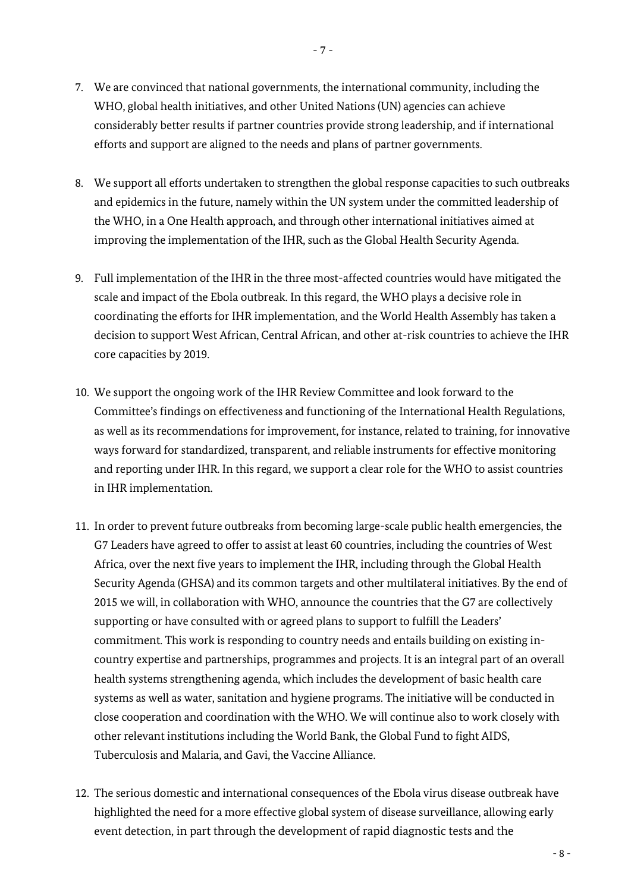- 7. We are convinced that national governments, the international community, including the WHO, global health initiatives, and other United Nations (UN) agencies can achieve considerably better results if partner countries provide strong leadership, and if international efforts and support are aligned to the needs and plans of partner governments.
- 8. We support all efforts undertaken to strengthen the global response capacities to such outbreaks and epidemics in the future, namely within the UN system under the committed leadership of the WHO, in a One Health approach, and through other international initiatives aimed at improving the implementation of the IHR, such as the Global Health Security Agenda.
- 9. Full implementation of the IHR in the three most-affected countries would have mitigated the scale and impact of the Ebola outbreak. In this regard, the WHO plays a decisive role in coordinating the efforts for IHR implementation, and the World Health Assembly has taken a decision to support West African, Central African, and other at-risk countries to achieve the IHR core capacities by 2019.
- 10. We support the ongoing work of the IHR Review Committee and look forward to the Committee's findings on effectiveness and functioning of the International Health Regulations, as well as its recommendations for improvement, for instance, related to training, for innovative ways forward for standardized, transparent, and reliable instruments for effective monitoring and reporting under IHR. In this regard, we support a clear role for the WHO to assist countries in IHR implementation.
- 11. In order to prevent future outbreaks from becoming large-scale public health emergencies, the G7 Leaders have agreed to offer to assist at least 60 countries, including the countries of West Africa, over the next five years to implement the IHR, including through the Global Health Security Agenda (GHSA) and its common targets and other multilateral initiatives. By the end of 2015 we will, in collaboration with WHO, announce the countries that the G7 are collectively supporting or have consulted with or agreed plans to support to fulfill the Leaders' commitment. This work is responding to country needs and entails building on existing incountry expertise and partnerships, programmes and projects. It is an integral part of an overall health systems strengthening agenda, which includes the development of basic health care systems as well as water, sanitation and hygiene programs. The initiative will be conducted in close cooperation and coordination with the WHO. We will continue also to work closely with other relevant institutions including the World Bank, the Global Fund to fight AIDS, Tuberculosis and Malaria, and Gavi, the Vaccine Alliance.
- 12. The serious domestic and international consequences of the Ebola virus disease outbreak have highlighted the need for a more effective global system of disease surveillance, allowing early event detection, in part through the development of rapid diagnostic tests and the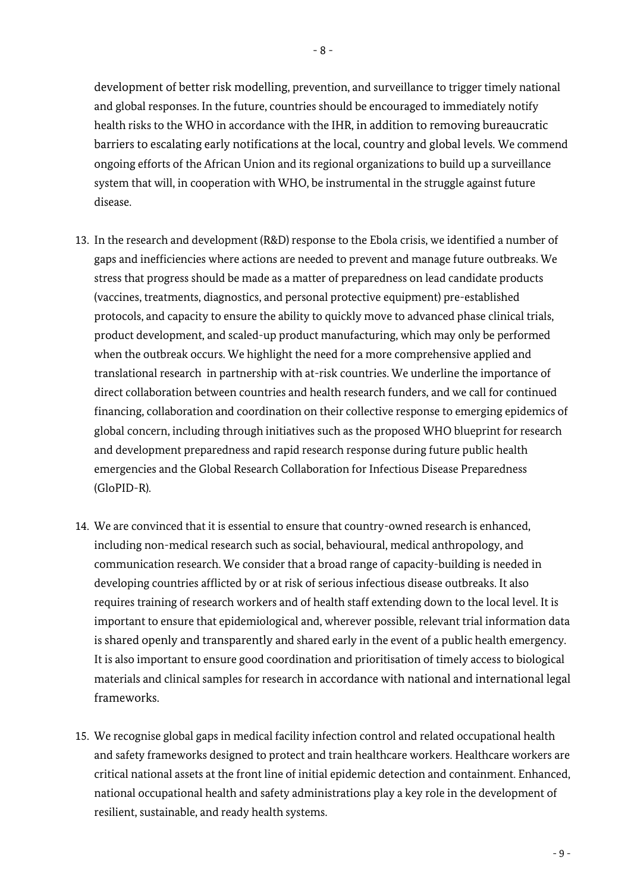development of better risk modelling, prevention, and surveillance to trigger timely national and global responses. In the future, countries should be encouraged to immediately notify health risks to the WHO in accordance with the IHR, in addition to removing bureaucratic barriers to escalating early notifications at the local, country and global levels. We commend ongoing efforts of the African Union and its regional organizations to build up a surveillance system that will, in cooperation with WHO, be instrumental in the struggle against future disease.

- 13. In the research and development (R&D) response to the Ebola crisis, we identified a number of gaps and inefficiencies where actions are needed to prevent and manage future outbreaks. We stress that progress should be made as a matter of preparedness on lead candidate products (vaccines, treatments, diagnostics, and personal protective equipment) pre-established protocols, and capacity to ensure the ability to quickly move to advanced phase clinical trials, product development, and scaled-up product manufacturing, which may only be performed when the outbreak occurs. We highlight the need for a more comprehensive applied and translational research in partnership with at-risk countries. We underline the importance of direct collaboration between countries and health research funders, and we call for continued financing, collaboration and coordination on their collective response to emerging epidemics of global concern, including through initiatives such as the proposed WHO blueprint for research and development preparedness and rapid research response during future public health emergencies and the Global Research Collaboration for Infectious Disease Preparedness (GloPID-R).
- 14. We are convinced that it is essential to ensure that country-owned research is enhanced, including non-medical research such as social, behavioural, medical anthropology, and communication research. We consider that a broad range of capacity-building is needed in developing countries afflicted by or at risk of serious infectious disease outbreaks. It also requires training of research workers and of health staff extending down to the local level. It is important to ensure that epidemiological and, wherever possible, relevant trial information data is shared openly and transparently and shared early in the event of a public health emergency. It is also important to ensure good coordination and prioritisation of timely access to biological materials and clinical samples for research in accordance with national and international legal frameworks.
- 15. We recognise global gaps in medical facility infection control and related occupational health and safety frameworks designed to protect and train healthcare workers. Healthcare workers are critical national assets at the front line of initial epidemic detection and containment. Enhanced, national occupational health and safety administrations play a key role in the development of resilient, sustainable, and ready health systems.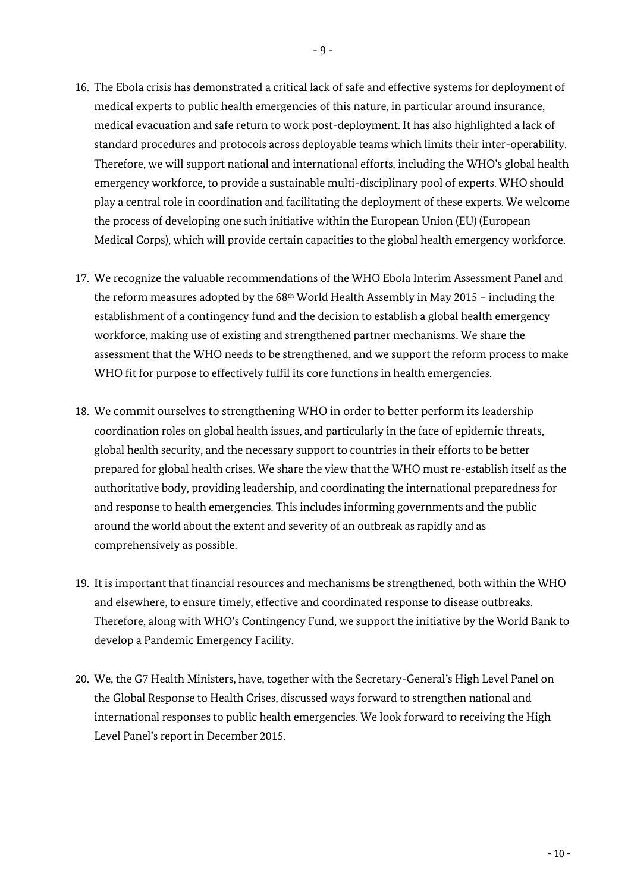- 16. The Ebola crisis has demonstrated a critical lack of safe and effective systems for deployment of medical experts to public health emergencies of this nature, in particular around insurance, medical evacuation and safe return to work post-deployment. It has also highlighted a lack of standard procedures and protocols across deployable teams which limits their inter-operability. Therefore, we will support national and international efforts, including the WHO's global health emergency workforce, to provide a sustainable multi-disciplinary pool of experts. WHO should play a central role in coordination and facilitating the deployment of these experts. We welcome the process of developing one such initiative within the European Union (EU) (European Medical Corps), which will provide certain capacities to the global health emergency workforce.
- 17. We recognize the valuable recommendations of the WHO Ebola Interim Assessment Panel and the reform measures adopted by the  $68<sup>th</sup>$  World Health Assembly in May 2015 – including the establishment of a contingency fund and the decision to establish a global health emergency workforce, making use of existing and strengthened partner mechanisms. We share the assessment that the WHO needs to be strengthened, and we support the reform process to make WHO fit for purpose to effectively fulfil its core functions in health emergencies.
- 18. We commit ourselves to strengthening WHO in order to better perform its leadership coordination roles on global health issues, and particularly in the face of epidemic threats, global health security, and the necessary support to countries in their efforts to be better prepared for global health crises. We share the view that the WHO must re-establish itself as the authoritative body, providing leadership, and coordinating the international preparedness for and response to health emergencies. This includes informing governments and the public around the world about the extent and severity of an outbreak as rapidly and as comprehensively as possible.
- 19. It is important that financial resources and mechanisms be strengthened, both within the WHO and elsewhere, to ensure timely, effective and coordinated response to disease outbreaks. Therefore, along with WHO's Contingency Fund, we support the initiative by the World Bank to develop a Pandemic Emergency Facility.
- 20. We, the G7 Health Ministers, have, together with the Secretary-General's High Level Panel on the Global Response to Health Crises, discussed ways forward to strengthen national and international responses to public health emergencies. We look forward to receiving the High Level Panel's report in December 2015.